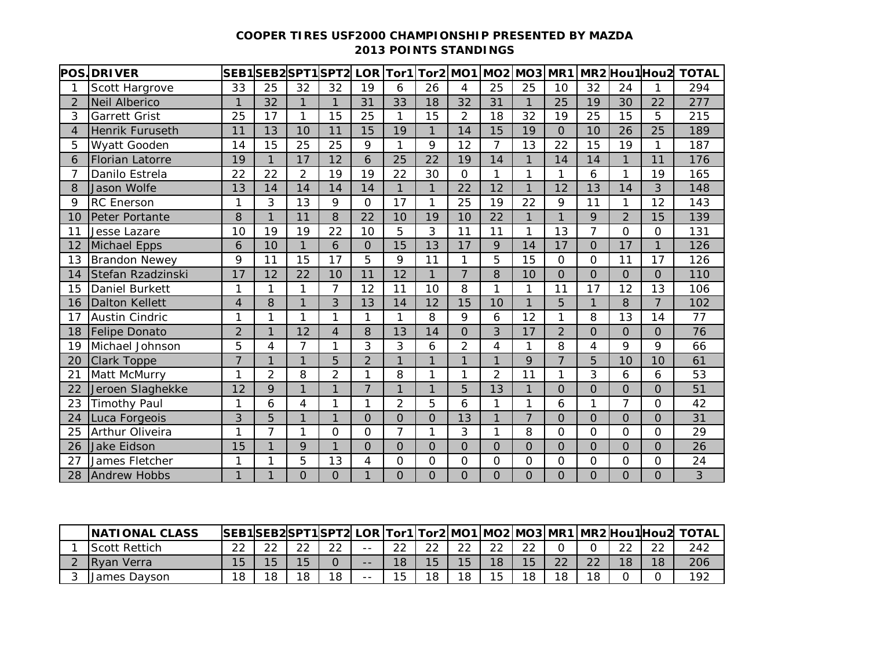## **COOPER TIRES USF2000 CHAMPIONSHIP PRESENTED BY MAZDA 2013 POINTS STANDINGS**

|                | <b>POS.DRIVER</b>      |                |                |                | SEB1 SEB2 SPT1 SPT2  LOR   Tor1   Tor2   MO1   MO2   MO3   MR1 |                |                     |              |                |                |                |                |                |                | MR2Hou1Hou2    | <b>TOTAL</b> |
|----------------|------------------------|----------------|----------------|----------------|----------------------------------------------------------------|----------------|---------------------|--------------|----------------|----------------|----------------|----------------|----------------|----------------|----------------|--------------|
|                | Scott Hargrove         | 33             | 25             | 32             | 32                                                             | 19             | 6                   | 26           | 4              | 25             | 25             | 10             | 32             | 24             | 1              | 294          |
| $\overline{2}$ | <b>Neil Alberico</b>   | 1              | 32             | 1              | 1                                                              | 31             | 33                  | 18           | 32             | 31             | 1              | 25             | 19             | 30             | 22             | 277          |
| 3              | Garrett Grist          | 25             | 17             | 1              | 15                                                             | 25             | $\mathbf{1}$        | 15           | $\overline{2}$ | 18             | 32             | 19             | 25             | 15             | 5              | 215          |
| 4              | Henrik Furuseth        | 11             | 13             | 10             | 11                                                             | 15             | 19                  | 1            | 14             | 15             | 19             | $\mathbf 0$    | 10             | 26             | 25             | 189          |
| 5              | Wyatt Gooden           | 14             | 15             | 25             | 25                                                             | 9              | 1                   | 9            | 12             | 7              | 13             | 22             | 15             | 19             | 1              | 187          |
| 6              | <b>Florian Latorre</b> | 19             | $\mathbf{1}$   | 17             | 12                                                             | 6              | 25                  | 22           | 19             | 14             | $\mathbf{1}$   | 14             | 14             | $\mathbf{1}$   | 11             | 176          |
| 7              | Danilo Estrela         | 22             | 22             | $\overline{2}$ | 19                                                             | 19             | 22                  | 30           | $\overline{O}$ | 1              | 1              | 1              | 6              | 1              | 19             | 165          |
| 8              | <b>Jason Wolfe</b>     | 13             | 14             | 14             | 14                                                             | 14             | $\mathbf{1}$        | $\mathbf{1}$ | 22             | 12             | $\mathbf{1}$   | 12             | 13             | 14             | 3              | 148          |
| 9              | <b>RC</b> Enerson      | 1              | 3              | 13             | 9                                                              | 0              | $\overline{17}$     | 1            | 25             | 19             | 22             | 9              | 11             | 1              | 12             | 143          |
| 10             | Peter Portante         | 8              | $\mathbf{1}$   | 11             | 8                                                              | 22             | 10                  | 19           | 10             | 22             | $\mathbf{1}$   | $\mathbf{1}$   | 9              | $\overline{2}$ | 15             | 139          |
| 11             | Jesse Lazare           | 10             | 19             | 19             | 22                                                             | 10             | 5                   | 3            | 11             | 11             | 1              | 13             | $\overline{7}$ | $\overline{O}$ | $\mathbf 0$    | 131          |
| 12             | Michael Epps           | 6              | 10             | $\mathbf{1}$   | 6                                                              | $\overline{O}$ | 15                  | 13           | 17             | 9              | 14             | 17             | $\overline{O}$ | 17             | $\mathbf{1}$   | 126          |
| 13             | <b>Brandon Newey</b>   | 9              | 11             | 15             | 17                                                             | 5              | 9                   | 11           | 1              | 5              | 15             | $\Omega$       | $\Omega$       | 11             | 17             | 126          |
| 14             | Stefan Rzadzinski      | 17             | 12             | 22             | 10                                                             | 11             | 12                  | $\mathbf{1}$ | $\overline{7}$ | 8              | 10             | $\overline{0}$ | $\overline{O}$ | $\Omega$       | $\overline{O}$ | 110          |
| 15             | Daniel Burkett         | 1              | $\mathbf{1}$   | 1              | 7                                                              | 12             | 11                  | 10           | 8              | 1              | 1              | 11             | 17             | 12             | 13             | 106          |
| 16             | <b>Dalton Kellett</b>  | $\overline{4}$ | 8              | $\mathbf{1}$   | 3                                                              | 13             | 14                  | 12           | 15             | 10             | 1              | 5              | $\mathbf{1}$   | 8              | $\overline{7}$ | 102          |
| 17             | <b>Austin Cindric</b>  | 1              | 1              | 1              | 1                                                              | 1              | 1                   | 8            | 9              | 6              | 12             | 1              | 8              | 13             | 14             | 77           |
| 18             | <b>Felipe Donato</b>   | $\overline{2}$ | 1              | 12             | $\overline{4}$                                                 | 8              | 13                  | 14           | $\overline{O}$ | 3              | 17             | $\overline{2}$ | $\overline{O}$ | $\Omega$       | $\overline{0}$ | 76           |
| 19             | Michael Johnson        | 5              | 4              | 7              | 1                                                              | 3              | 3                   | 6            | $\overline{2}$ | 4              | 1              | 8              | 4              | 9              | 9              | 66           |
| 20             | <b>Clark Toppe</b>     | $\overline{7}$ | $\mathbf{1}$   | 1              | 5                                                              | $\overline{2}$ | 1                   | 1            | 1              | $\mathbf{1}$   | $\mathsf Q$    | $\overline{7}$ | 5              | 10             | 10             | 61           |
| 21             | Matt McMurry           | 1              | $\overline{2}$ | 8              | $\overline{2}$                                                 | 1              | 8                   | 1            | 1              | $\overline{2}$ | 11             | 1              | 3              | 6              | 6              | 53           |
| 22             | Jeroen Slaghekke       | 12             | $\mathsf{Q}$   | $\mathbf{1}$   | 1                                                              | $\overline{7}$ | $\overline{1}$      | 1            | 5              | 13             | $\mathbf{1}$   | $\overline{0}$ | $\overline{O}$ | $\Omega$       | $\Omega$       | 51           |
| 23             | <b>Timothy Paul</b>    | 1              | 6              | 4              | 1                                                              | 1              | $\overline{2}$      | 5            | 6              | 1              | 1              | 6              | 1              | 7              | $\Omega$       | 42           |
| 24             | Luca Forgeois          | 3              | 5              | 1              | 1                                                              | $\overline{O}$ | $\overline{0}$      | 0            | 13             | $\mathbf{1}$   | $\overline{7}$ | $\overline{O}$ | $\overline{0}$ | 0              | $\mathbf{O}$   | 31           |
| 25             | Arthur Oliveira        | 1              | $\overline{7}$ | 1              | O                                                              | $\Omega$       | $\overline{7}$      | 1            | 3              | 1              | 8              | $\overline{O}$ | $\Omega$       | $\overline{O}$ | $\Omega$       | 29           |
| 26             | <b>Jake Eidson</b>     | 15             | $\mathbf{1}$   | 9              | $\mathbf{1}$                                                   | $\Omega$       | $\mathbf{O}$        | $\Omega$     | $\Omega$       | $\Omega$       | $\Omega$       | $\Omega$       | $\Omega$       | $\Omega$       | $\overline{O}$ | 26           |
| 27             | James Fletcher         | 1              | 1              | 5              | 13                                                             | 4              | $\mathsf{O}\xspace$ | 0            | $\overline{0}$ | 0              | $\Omega$       | $\overline{O}$ | 0              | $\mathbf 0$    | $\mathbf 0$    | 24           |
| 28             | <b>Andrew Hobbs</b>    | $\overline{1}$ |                | 0              | 0                                                              | $\mathbf{1}$   | $\overline{O}$      | 0            | $\overline{O}$ | $\overline{O}$ | $\overline{0}$ | $\overline{O}$ | O              | $\overline{O}$ | $\overline{0}$ | 3            |

| <b>INATIONAL CLASS</b> |        |    |        |        |       |          |        |    |        |        |          |              |        |    | SEB1SEB2SPT1SPT2 LOR Tor1 Tor2 MO1 MO2 MO3 MR1 MR2 Hou1 Hou2 TOTAL |
|------------------------|--------|----|--------|--------|-------|----------|--------|----|--------|--------|----------|--------------|--------|----|--------------------------------------------------------------------|
| <b>IScott Rettich</b>  | $\cap$ |    | $\sim$ | $\cap$ | $- -$ | ົ<br>ے ے | $\sim$ | ົ  | $\cap$ | $\cap$ |          |              | $\sim$ | ົ  | 242                                                                |
| <b>IRvan Verra</b>     | 15     |    |        |        | $- -$ | 18       | 15     |    | 18     | 15     | າາ<br>22 | $\cap$<br>∠∠ | 18     | 18 | 206                                                                |
| James Davson           | 18     | 18 |        | 18     | $- -$ | 15       | 18     | 18 |        | 10     | 18       | 18           |        |    | 192                                                                |